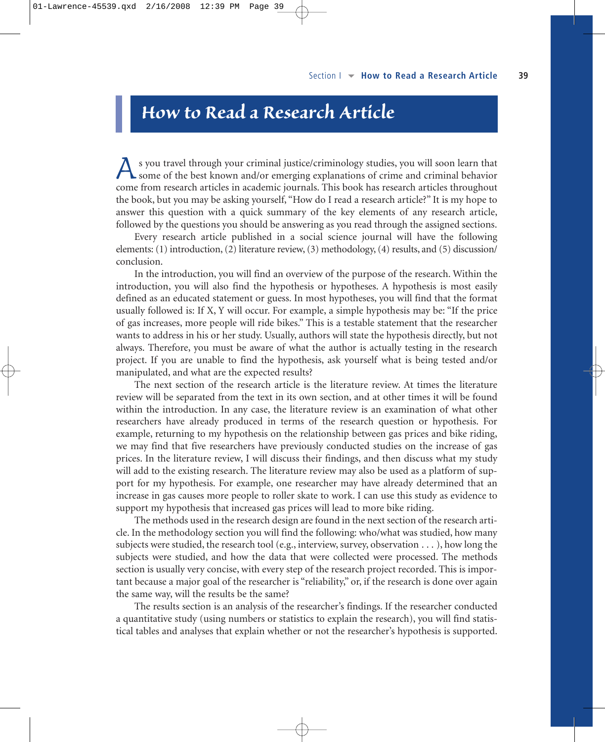# *How to Read a Research Article*

s you travel through your criminal justice/criminology studies, you will soon learn that some of the best known and/or emerging explanations of crime and criminal behavior come from research articles in academic journals. This book has research articles throughout the book, but you may be asking yourself, "How do I read a research article?" It is my hope to answer this question with a quick summary of the key elements of any research article, followed by the questions you should be answering as you read through the assigned sections.

Every research article published in a social science journal will have the following elements: (1) introduction, (2) literature review, (3) methodology, (4) results, and (5) discussion/ conclusion.

In the introduction, you will find an overview of the purpose of the research. Within the introduction, you will also find the hypothesis or hypotheses. A hypothesis is most easily defined as an educated statement or guess. In most hypotheses, you will find that the format usually followed is: If X, Y will occur. For example, a simple hypothesis may be: "If the price of gas increases, more people will ride bikes." This is a testable statement that the researcher wants to address in his or her study. Usually, authors will state the hypothesis directly, but not always. Therefore, you must be aware of what the author is actually testing in the research project. If you are unable to find the hypothesis, ask yourself what is being tested and/or manipulated, and what are the expected results?

The next section of the research article is the literature review. At times the literature review will be separated from the text in its own section, and at other times it will be found within the introduction. In any case, the literature review is an examination of what other researchers have already produced in terms of the research question or hypothesis. For example, returning to my hypothesis on the relationship between gas prices and bike riding, we may find that five researchers have previously conducted studies on the increase of gas prices. In the literature review, I will discuss their findings, and then discuss what my study will add to the existing research. The literature review may also be used as a platform of support for my hypothesis. For example, one researcher may have already determined that an increase in gas causes more people to roller skate to work. I can use this study as evidence to support my hypothesis that increased gas prices will lead to more bike riding.

The methods used in the research design are found in the next section of the research article. In the methodology section you will find the following: who/what was studied, how many subjects were studied, the research tool (e.g., interview, survey, observation . . . ), how long the subjects were studied, and how the data that were collected were processed. The methods section is usually very concise, with every step of the research project recorded. This is important because a major goal of the researcher is "reliability," or, if the research is done over again the same way, will the results be the same?

The results section is an analysis of the researcher's findings. If the researcher conducted a quantitative study (using numbers or statistics to explain the research), you will find statistical tables and analyses that explain whether or not the researcher's hypothesis is supported.